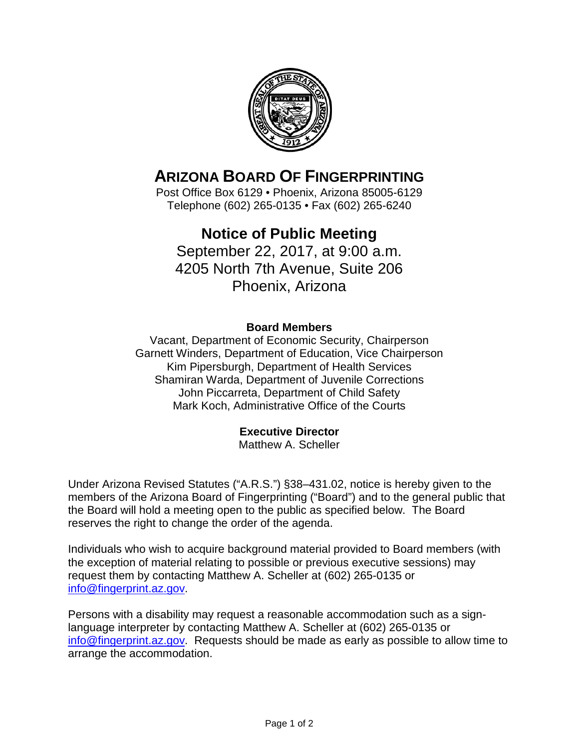

# **ARIZONA BOARD OF FINGERPRINTING**

Post Office Box 6129 • Phoenix, Arizona 85005-6129 Telephone (602) 265-0135 • Fax (602) 265-6240

## **Notice of Public Meeting**

September 22, 2017, at 9:00 a.m. 4205 North 7th Avenue, Suite 206 Phoenix, Arizona

#### **Board Members**

Vacant, Department of Economic Security, Chairperson Garnett Winders, Department of Education, Vice Chairperson Kim Pipersburgh, Department of Health Services Shamiran Warda, Department of Juvenile Corrections John Piccarreta, Department of Child Safety Mark Koch, Administrative Office of the Courts

#### **Executive Director**

Matthew A. Scheller

Under Arizona Revised Statutes ("A.R.S.") §38–431.02, notice is hereby given to the members of the Arizona Board of Fingerprinting ("Board") and to the general public that the Board will hold a meeting open to the public as specified below. The Board reserves the right to change the order of the agenda.

Individuals who wish to acquire background material provided to Board members (with the exception of material relating to possible or previous executive sessions) may request them by contacting Matthew A. Scheller at (602) 265-0135 or [info@fingerprint.az.gov.](mailto:info@fingerprint.az.gov)

Persons with a disability may request a reasonable accommodation such as a signlanguage interpreter by contacting Matthew A. Scheller at (602) 265-0135 or [info@fingerprint.az.gov.](mailto:info@fingerprint.az.gov) Requests should be made as early as possible to allow time to arrange the accommodation.